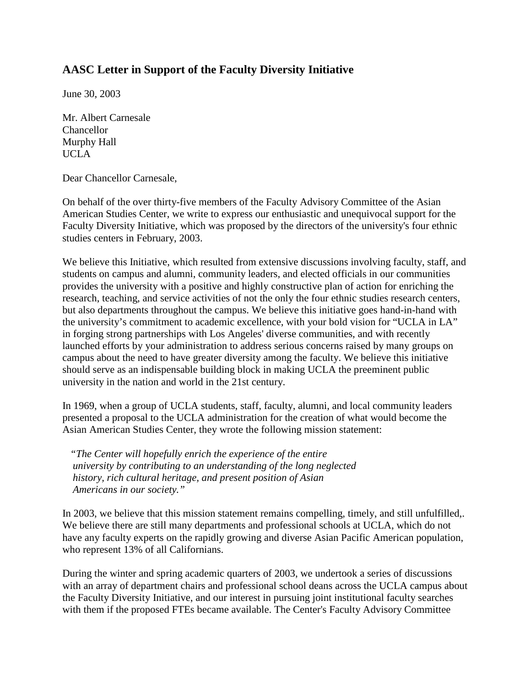## **AASC Letter in Support of the Faculty Diversity Initiative**

June 30, 2003

Mr. Albert Carnesale Chancellor Murphy Hall UCLA

Dear Chancellor Carnesale,

On behalf of the over thirty-five members of the Faculty Advisory Committee of the Asian American Studies Center, we write to express our enthusiastic and unequivocal support for the Faculty Diversity Initiative, which was proposed by the directors of the university's four ethnic studies centers in February, 2003.

We believe this Initiative, which resulted from extensive discussions involving faculty, staff, and students on campus and alumni, community leaders, and elected officials in our communities provides the university with a positive and highly constructive plan of action for enriching the research, teaching, and service activities of not the only the four ethnic studies research centers, but also departments throughout the campus. We believe this initiative goes hand-in-hand with the university's commitment to academic excellence, with your bold vision for "UCLA in LA" in forging strong partnerships with Los Angeles' diverse communities, and with recently launched efforts by your administration to address serious concerns raised by many groups on campus about the need to have greater diversity among the faculty. We believe this initiative should serve as an indispensable building block in making UCLA the preeminent public university in the nation and world in the 21st century.

In 1969, when a group of UCLA students, staff, faculty, alumni, and local community leaders presented a proposal to the UCLA administration for the creation of what would become the Asian American Studies Center, they wrote the following mission statement:

 *"The Center will hopefully enrich the experience of the entire university by contributing to an understanding of the long neglected history, rich cultural heritage, and present position of Asian Americans in our society."* 

In 2003, we believe that this mission statement remains compelling, timely, and still unfulfilled,. We believe there are still many departments and professional schools at UCLA, which do not have any faculty experts on the rapidly growing and diverse Asian Pacific American population, who represent 13% of all Californians.

During the winter and spring academic quarters of 2003, we undertook a series of discussions with an array of department chairs and professional school deans across the UCLA campus about the Faculty Diversity Initiative, and our interest in pursuing joint institutional faculty searches with them if the proposed FTEs became available. The Center's Faculty Advisory Committee